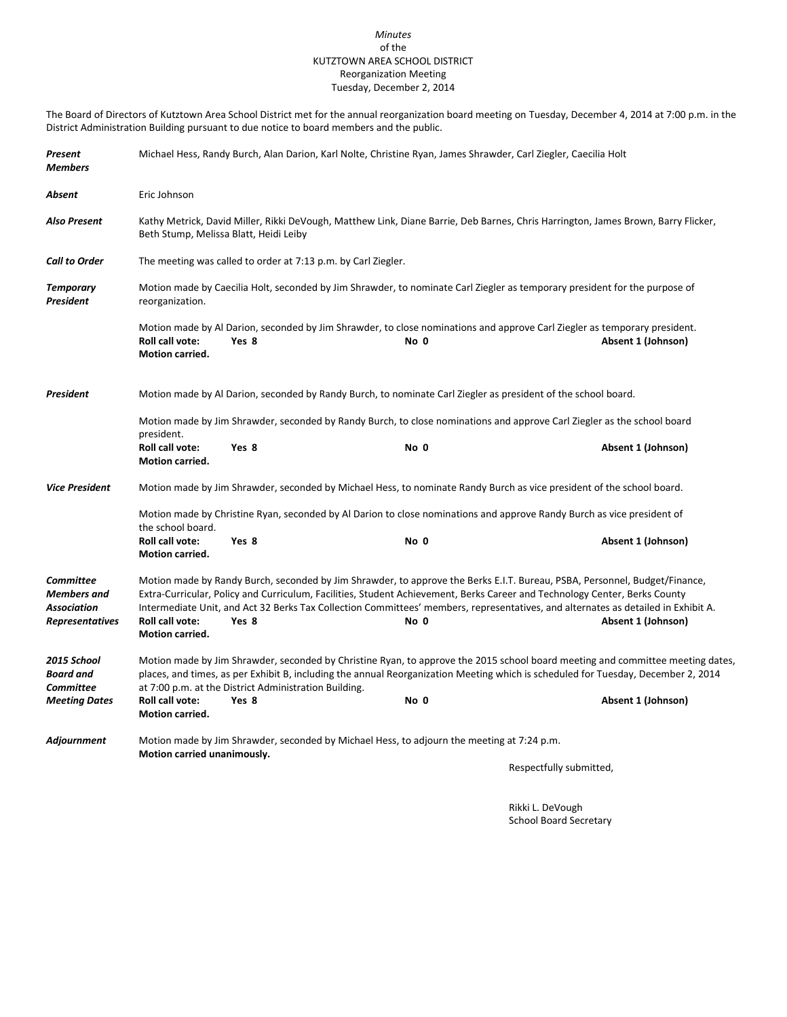#### *Minutes* of the KUTZTOWN AREA SCHOOL DISTRICT Reorganization Meeting Tuesday, December 2, 2014

The Board of Directors of Kutztown Area School District met for the annual reorganization board meeting on Tuesday, December 4, 2014 at 7:00 p.m. in the District Administration Building pursuant to due notice to board members and the public.

| Present<br><b>Members</b>                                                              | Michael Hess, Randy Burch, Alan Darion, Karl Nolte, Christine Ryan, James Shrawder, Carl Ziegler, Caecilia Holt                                                             |                                                                                                                                                                                                                                                                   |      |                                                                                                                                                                                                                                                                     |  |  |
|----------------------------------------------------------------------------------------|-----------------------------------------------------------------------------------------------------------------------------------------------------------------------------|-------------------------------------------------------------------------------------------------------------------------------------------------------------------------------------------------------------------------------------------------------------------|------|---------------------------------------------------------------------------------------------------------------------------------------------------------------------------------------------------------------------------------------------------------------------|--|--|
| Absent                                                                                 | Eric Johnson                                                                                                                                                                |                                                                                                                                                                                                                                                                   |      |                                                                                                                                                                                                                                                                     |  |  |
| <b>Also Present</b>                                                                    | Kathy Metrick, David Miller, Rikki DeVough, Matthew Link, Diane Barrie, Deb Barnes, Chris Harrington, James Brown, Barry Flicker,<br>Beth Stump, Melissa Blatt, Heidi Leiby |                                                                                                                                                                                                                                                                   |      |                                                                                                                                                                                                                                                                     |  |  |
| <b>Call to Order</b>                                                                   |                                                                                                                                                                             | The meeting was called to order at 7:13 p.m. by Carl Ziegler.                                                                                                                                                                                                     |      |                                                                                                                                                                                                                                                                     |  |  |
| <b>Temporary</b><br>President                                                          | Motion made by Caecilia Holt, seconded by Jim Shrawder, to nominate Carl Ziegler as temporary president for the purpose of<br>reorganization.                               |                                                                                                                                                                                                                                                                   |      |                                                                                                                                                                                                                                                                     |  |  |
|                                                                                        | Roll call vote:<br><b>Motion carried.</b>                                                                                                                                   | Motion made by Al Darion, seconded by Jim Shrawder, to close nominations and approve Carl Ziegler as temporary president.<br>Yes 8                                                                                                                                | No 0 | Absent 1 (Johnson)                                                                                                                                                                                                                                                  |  |  |
| President                                                                              |                                                                                                                                                                             | Motion made by Al Darion, seconded by Randy Burch, to nominate Carl Ziegler as president of the school board.                                                                                                                                                     |      |                                                                                                                                                                                                                                                                     |  |  |
|                                                                                        | president.                                                                                                                                                                  | Motion made by Jim Shrawder, seconded by Randy Burch, to close nominations and approve Carl Ziegler as the school board                                                                                                                                           |      |                                                                                                                                                                                                                                                                     |  |  |
|                                                                                        | <b>Roll call vote:</b><br><b>Motion carried.</b>                                                                                                                            | Yes 8                                                                                                                                                                                                                                                             | No 0 | Absent 1 (Johnson)                                                                                                                                                                                                                                                  |  |  |
| <b>Vice President</b>                                                                  |                                                                                                                                                                             | Motion made by Jim Shrawder, seconded by Michael Hess, to nominate Randy Burch as vice president of the school board.                                                                                                                                             |      |                                                                                                                                                                                                                                                                     |  |  |
|                                                                                        | Motion made by Christine Ryan, seconded by Al Darion to close nominations and approve Randy Burch as vice president of<br>the school board.                                 |                                                                                                                                                                                                                                                                   |      |                                                                                                                                                                                                                                                                     |  |  |
|                                                                                        | Roll call vote:<br><b>Motion carried.</b>                                                                                                                                   | Yes 8                                                                                                                                                                                                                                                             | No 0 | Absent 1 (Johnson)                                                                                                                                                                                                                                                  |  |  |
| <b>Committee</b><br><b>Members</b> and<br><b>Association</b><br><b>Representatives</b> | <b>Roll call vote:</b><br><b>Motion carried.</b>                                                                                                                            | Motion made by Randy Burch, seconded by Jim Shrawder, to approve the Berks E.I.T. Bureau, PSBA, Personnel, Budget/Finance,<br>Extra-Curricular, Policy and Curriculum, Facilities, Student Achievement, Berks Career and Technology Center, Berks County<br>Yes 8 | No 0 | Intermediate Unit, and Act 32 Berks Tax Collection Committees' members, representatives, and alternates as detailed in Exhibit A.<br>Absent 1 (Johnson)                                                                                                             |  |  |
| 2015 School<br><b>Board</b> and<br><b>Committee</b>                                    |                                                                                                                                                                             | at 7:00 p.m. at the District Administration Building.                                                                                                                                                                                                             |      | Motion made by Jim Shrawder, seconded by Christine Ryan, to approve the 2015 school board meeting and committee meeting dates,<br>places, and times, as per Exhibit B, including the annual Reorganization Meeting which is scheduled for Tuesday, December 2, 2014 |  |  |
| <b>Meeting Dates</b>                                                                   | Roll call vote:<br><b>Motion carried.</b>                                                                                                                                   | Yes 8                                                                                                                                                                                                                                                             | No 0 | Absent 1 (Johnson)                                                                                                                                                                                                                                                  |  |  |
| Adjournment                                                                            |                                                                                                                                                                             | Motion made by Jim Shrawder, seconded by Michael Hess, to adjourn the meeting at 7:24 p.m.                                                                                                                                                                        |      |                                                                                                                                                                                                                                                                     |  |  |
|                                                                                        | Motion carried unanimously.                                                                                                                                                 |                                                                                                                                                                                                                                                                   |      | Respectfully submitted,                                                                                                                                                                                                                                             |  |  |

Rikki L. DeVough School Board Secretary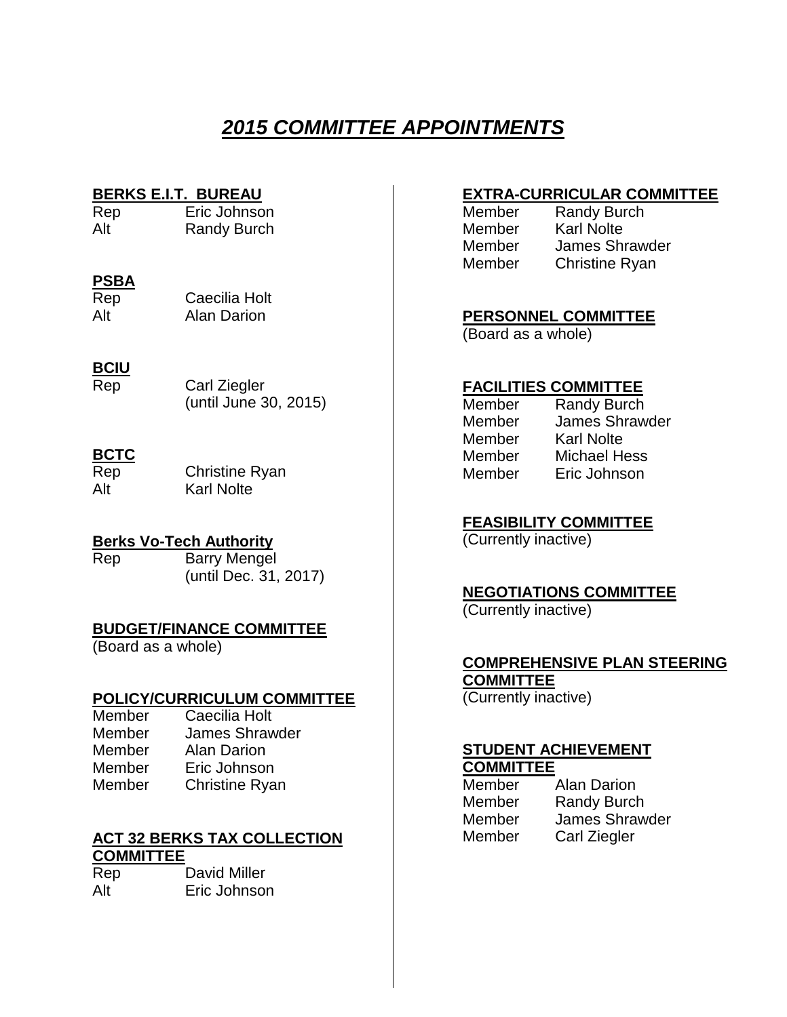## *2015 COMMITTEE APPOINTMENTS*

**BERKS E.I.T. BUREAU**<br>Rep Eric Johnso Eric Johnson Alt Randy Burch

#### **PSBA**

| Rep | Caecilia Holt      |
|-----|--------------------|
| Alt | <b>Alan Darion</b> |

#### **BCIU**

| Rep | Carl Ziegler          |
|-----|-----------------------|
|     | (until June 30, 2015) |

#### **BCTC**

Rep Christine Ryan Alt Karl Nolte

#### **Berks Vo-Tech Authority**

Rep Barry Mengel (until Dec. 31, 2017)

#### **BUDGET/FINANCE COMMITTEE**

(Board as a whole)

#### **POLICY/CURRICULUM COMMITTEE**

| Member | Caecilia Holt         |
|--------|-----------------------|
| Member | <b>James Shrawder</b> |
| Member | <b>Alan Darion</b>    |
| Member | Eric Johnson          |
| Member | <b>Christine Ryan</b> |

#### **ACT 32 BERKS TAX COLLECTION COMMITTEE**

| Rep | David Miller |
|-----|--------------|
| Alt | Eric Johnson |

#### **EXTRA-CURRICULAR COMMITTEE**

| Member | <b>Randy Burch</b>    |
|--------|-----------------------|
| Member | <b>Karl Nolte</b>     |
| Member | <b>James Shrawder</b> |
| Member | <b>Christine Ryan</b> |

#### **PERSONNEL COMMITTEE** (Board as a whole)

### **FACILITIES COMMITTEE**

| Member | <b>Randy Burch</b>    |
|--------|-----------------------|
| Member | <b>James Shrawder</b> |
| Member | <b>Karl Nolte</b>     |
| Member | <b>Michael Hess</b>   |
| Member | Eric Johnson          |
|        |                       |

#### **FEASIBILITY COMMITTEE**

(Currently inactive)

#### **NEGOTIATIONS COMMITTEE**

(Currently inactive)

#### **COMPREHENSIVE PLAN STEERING COMMITTEE**

(Currently inactive)

#### **STUDENT ACHIEVEMENT COMMITTEE**

| <b>UUNIVII I LE</b> |
|---------------------|
| <b>Alan Darion</b>  |
| <b>Randy Burch</b>  |
| James Shrawder      |
| Carl Ziegler        |
|                     |